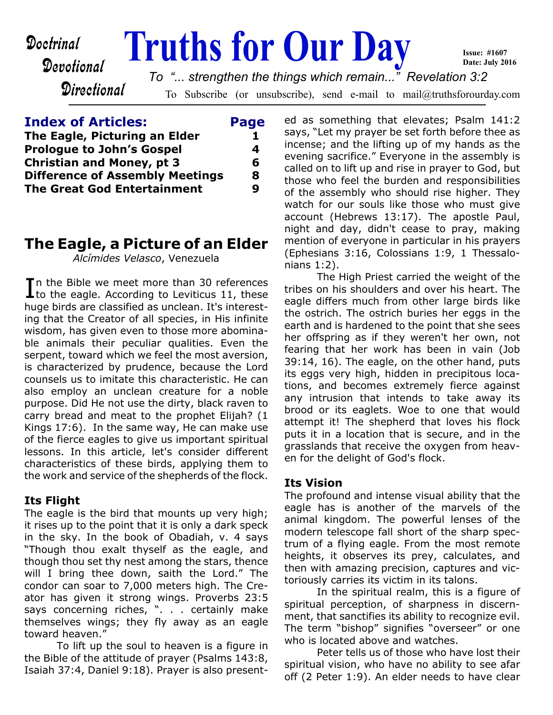Devotional

**Directional** 

# **Doctrinal Truths for Our Day**

To Subscribe (or unsubscribe), send e-mail to mail@truthsforourday.com *To "... strengthen the things which remain..." Revelation 3:2*

## **Index of Articles: Page The Eagle, Picturing an Elder** 1 **Prologue to John's Gospel 4 Christian and Money, pt 3 6 Difference of Assembly Meetings 8 The Great God Entertainment 9**

# **The Eagle, a Picture of an Elder**

*Alcímides Velasco*, Venezuela

In the Bible we meet more than 30 references<br>to the eagle. According to Leviticus 11, these  $\blacksquare$  to the eagle. According to Leviticus 11, these huge birds are classified as unclean. It's interesting that the Creator of all species, in His infinite wisdom, has given even to those more abominable animals their peculiar qualities. Even the serpent, toward which we feel the most aversion, is characterized by prudence, because the Lord counsels us to imitate this characteristic. He can also employ an unclean creature for a noble purpose. Did He not use the dirty, black raven to carry bread and meat to the prophet Elijah? (1 Kings 17:6). In the same way, He can make use of the fierce eagles to give us important spiritual lessons. In this article, let's consider different characteristics of these birds, applying them to the work and service of the shepherds of the flock.

## **Its Flight**

The eagle is the bird that mounts up very high; it rises up to the point that it is only a dark speck in the sky. In the book of Obadiah, v. 4 says "Though thou exalt thyself as the eagle, and though thou set thy nest among the stars, thence will I bring thee down, saith the Lord." The condor can soar to 7,000 meters high. The Creator has given it strong wings. Proverbs 23:5 says concerning riches, ". . . . certainly make themselves wings; they fly away as an eagle toward heaven."

 To lift up the soul to heaven is a figure in the Bible of the attitude of prayer (Psalms 143:8, Isaiah 37:4, Daniel 9:18). Prayer is also presented as something that elevates; Psalm 141:2 says, "Let my prayer be set forth before thee as incense; and the lifting up of my hands as the evening sacrifice." Everyone in the assembly is called on to lift up and rise in prayer to God, but those who feel the burden and responsibilities of the assembly who should rise higher. They watch for our souls like those who must give account (Hebrews 13:17). The apostle Paul, night and day, didn't cease to pray, making mention of everyone in particular in his prayers (Ephesians 3:16, Colossians 1:9, 1 Thessalonians 1:2).

**Issue: #1607 Date: July 2016**

 The High Priest carried the weight of the tribes on his shoulders and over his heart. The eagle differs much from other large birds like the ostrich. The ostrich buries her eggs in the earth and is hardened to the point that she sees her offspring as if they weren't her own, not fearing that her work has been in vain (Job 39:14, 16). The eagle, on the other hand, puts its eggs very high, hidden in precipitous locations, and becomes extremely fierce against any intrusion that intends to take away its brood or its eaglets. Woe to one that would attempt it! The shepherd that loves his flock puts it in a location that is secure, and in the grasslands that receive the oxygen from heaven for the delight of God's flock.

## **Its Vision**

The profound and intense visual ability that the eagle has is another of the marvels of the animal kingdom. The powerful lenses of the modern telescope fall short of the sharp spectrum of a flying eagle. From the most remote heights, it observes its prey, calculates, and then with amazing precision, captures and victoriously carries its victim in its talons.

 In the spiritual realm, this is a figure of spiritual perception, of sharpness in discernment, that sanctifies its ability to recognize evil. The term "bishop" signifies "overseer" or one who is located above and watches.

 Peter tells us of those who have lost their spiritual vision, who have no ability to see afar off (2 Peter 1:9). An elder needs to have clear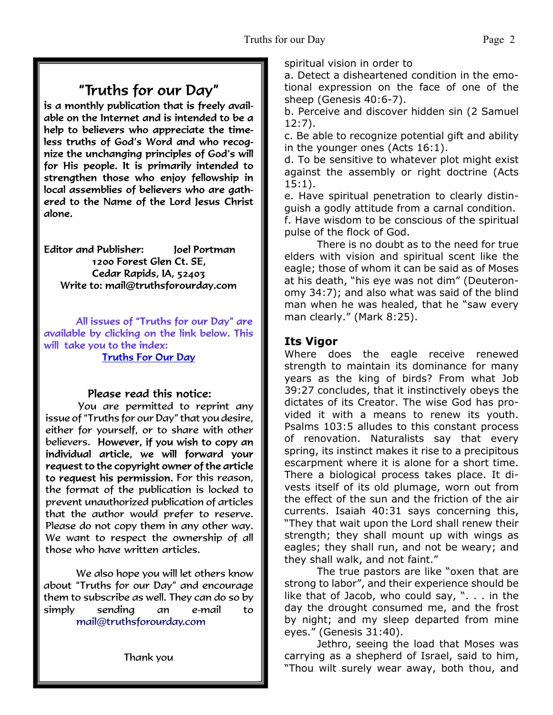# "Truths for our Day"

is a monthly publication that is freely available on the Internet and is intended to be a help to believers who appreciate the timeless truths of God's Word and who recognize the unchanging principles of God's will for His people. It is primarily intended to strengthen those who enjoy fellowship in local assemblies of believers who are gathered to the Name of the Lord Jesus Christ alone.

**Editor and Publisher:** Joel Portman 1200 Forest Glen Ct. SE, Cedar Rapids, IA, 52403 Write to: mail@truthsforourday.com

All issues of "Truths for our Day" are available by clicking on the link below. This will take you to the index: **Truths For Our Day** 

## Please read this notice:

You are permitted to reprint any issue of "Truths for our Day" that you desire, either for yourself, or to share with other believers. However, if you wish to copy an<br>individual article, we will forward your request to the copyright owner of the article to request his permission. For this reason, the format of the publication is locked to prevent unauthorized publication of articles that the author would prefer to reserve. Please do not copy them in any other way. We want to respect the ownership of all those who have written articles.

 We also hope you will let others know about "Truths for our Day" and encourage them to subscribe as well. They can do so by simply sending an e-mail to mail@truthsforourday.com

Thank you

spiritual vision in order to

a. Detect a disheartened condition in the emotional expression on the face of one of the sheep (Genesis 40:6-7).

b. Perceive and discover hidden sin (2 Samuel 12:7).

c. Be able to recognize potential gift and ability in the younger ones (Acts 16:1).

d. To be sensitive to whatever plot might exist against the assembly or right doctrine (Acts 15:1).

e. Have spiritual penetration to clearly distinguish a godly attitude from a carnal condition. f. Have wisdom to be conscious of the spiritual pulse of the flock of God.

 There is no doubt as to the need for true elders with vision and spiritual scent like the eagle; those of whom it can be said as of Moses at his death, "his eye was not dim" (Deuteronomy 34:7); and also what was said of the blind man when he was healed, that he "saw every man clearly." (Mark 8:25).

## **Its Vigor**

Where does the eagle receive renewed strength to maintain its dominance for many years as the king of birds? From what Job 39:27 concludes, that it instinctively obeys the dictates of its Creator. The wise God has provided it with a means to renew its youth. Psalms 103:5 alludes to this constant process of renovation. Naturalists say that every spring, its instinct makes it rise to a precipitous escarpment where it is alone for a short time. There a biological process takes place. It divests itself of its old plumage, worn out from the effect of the sun and the friction of the air currents. Isaiah 40:31 says concerning this, "They that wait upon the Lord shall renew their strength; they shall mount up with wings as eagles; they shall run, and not be weary; and they shall walk, and not faint."

 The true pastors are like "oxen that are strong to labor", and their experience should be like that of Jacob, who could say, ". . . in the day the drought consumed me, and the frost by night; and my sleep departed from mine eyes." (Genesis 31:40).

 Jethro, seeing the load that Moses was carrying as a shepherd of Israel, said to him, "Thou wilt surely wear away, both thou, and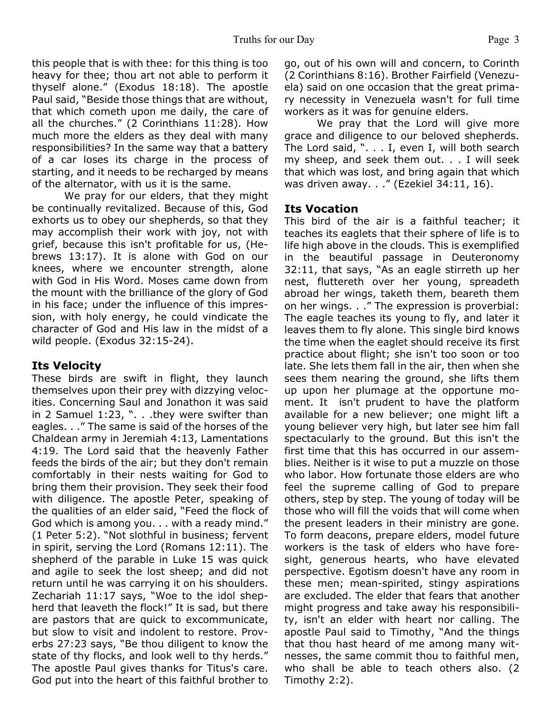this people that is with thee: for this thing is too heavy for thee; thou art not able to perform it thyself alone." (Exodus 18:18). The apostle Paul said, "Beside those things that are without, that which cometh upon me daily, the care of all the churches." (2 Corinthians 11:28). How much more the elders as they deal with many responsibilities? In the same way that a battery of a car loses its charge in the process of starting, and it needs to be recharged by means of the alternator, with us it is the same.

 We pray for our elders, that they might be continually revitalized. Because of this, God exhorts us to obey our shepherds, so that they may accomplish their work with joy, not with grief, because this isn't profitable for us, (Hebrews 13:17). It is alone with God on our knees, where we encounter strength, alone with God in His Word. Moses came down from the mount with the brilliance of the glory of God in his face; under the influence of this impression, with holy energy, he could vindicate the character of God and His law in the midst of a wild people. (Exodus 32:15-24).

## **Its Velocity**

These birds are swift in flight, they launch themselves upon their prey with dizzying velocities. Concerning Saul and Jonathon it was said in 2 Samuel 1:23, ". . .they were swifter than eagles. . ." The same is said of the horses of the Chaldean army in Jeremiah 4:13, Lamentations 4:19. The Lord said that the heavenly Father feeds the birds of the air; but they don't remain comfortably in their nests waiting for God to bring them their provision. They seek their food with diligence. The apostle Peter, speaking of the qualities of an elder said, "Feed the flock of God which is among you. . . with a ready mind." (1 Peter 5:2). "Not slothful in business; fervent in spirit, serving the Lord (Romans 12:11). The shepherd of the parable in Luke 15 was quick and agile to seek the lost sheep; and did not return until he was carrying it on his shoulders. Zechariah 11:17 says, "Woe to the idol shepherd that leaveth the flock!" It is sad, but there are pastors that are quick to excommunicate, but slow to visit and indolent to restore. Proverbs 27:23 says, "Be thou diligent to know the state of thy flocks, and look well to thy herds." The apostle Paul gives thanks for Titus's care. God put into the heart of this faithful brother to

go, out of his own will and concern, to Corinth (2 Corinthians 8:16). Brother Fairfield (Venezuela) said on one occasion that the great primary necessity in Venezuela wasn't for full time workers as it was for genuine elders.

 We pray that the Lord will give more grace and diligence to our beloved shepherds. The Lord said, ". . . I, even I, will both search my sheep, and seek them out. . . I will seek that which was lost, and bring again that which was driven away. . ." (Ezekiel 34:11, 16).

## **Its Vocation**

This bird of the air is a faithful teacher; it teaches its eaglets that their sphere of life is to life high above in the clouds. This is exemplified in the beautiful passage in Deuteronomy 32:11, that says, "As an eagle stirreth up her nest, fluttereth over her young, spreadeth abroad her wings, taketh them, beareth them on her wings. . ." The expression is proverbial: The eagle teaches its young to fly, and later it leaves them to fly alone. This single bird knows the time when the eaglet should receive its first practice about flight; she isn't too soon or too late. She lets them fall in the air, then when she sees them nearing the ground, she lifts them up upon her plumage at the opportune moment. It isn't prudent to have the platform available for a new believer; one might lift a young believer very high, but later see him fall spectacularly to the ground. But this isn't the first time that this has occurred in our assemblies. Neither is it wise to put a muzzle on those who labor. How fortunate those elders are who feel the supreme calling of God to prepare others, step by step. The young of today will be those who will fill the voids that will come when the present leaders in their ministry are gone. To form deacons, prepare elders, model future workers is the task of elders who have foresight, generous hearts, who have elevated perspective. Egotism doesn't have any room in these men; mean-spirited, stingy aspirations are excluded. The elder that fears that another might progress and take away his responsibility, isn't an elder with heart nor calling. The apostle Paul said to Timothy, "And the things that thou hast heard of me among many witnesses, the same commit thou to faithful men, who shall be able to teach others also. (2 Timothy 2:2).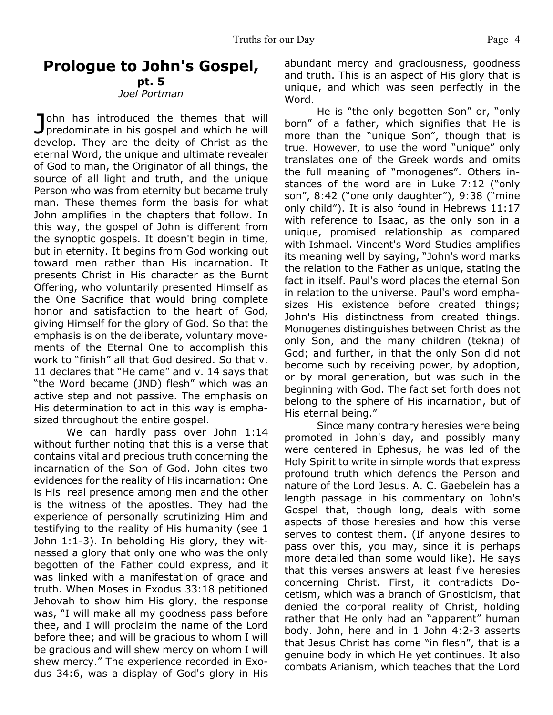## **Prologue to John's Gospel,**

#### **pt. 5** *Joel Portman*

John has introduced the themes that will<br>predominate in his gospel and which he will ohn has introduced the themes that will develop. They are the deity of Christ as the eternal Word, the unique and ultimate revealer of God to man, the Originator of all things, the source of all light and truth, and the unique Person who was from eternity but became truly man. These themes form the basis for what John amplifies in the chapters that follow. In this way, the gospel of John is different from the synoptic gospels. It doesn't begin in time, but in eternity. It begins from God working out toward men rather than His incarnation. It presents Christ in His character as the Burnt Offering, who voluntarily presented Himself as the One Sacrifice that would bring complete honor and satisfaction to the heart of God, giving Himself for the glory of God. So that the emphasis is on the deliberate, voluntary movements of the Eternal One to accomplish this work to "finish" all that God desired. So that v. 11 declares that "He came" and v. 14 says that "the Word became (JND) flesh" which was an active step and not passive. The emphasis on His determination to act in this way is emphasized throughout the entire gospel.

 We can hardly pass over John 1:14 without further noting that this is a verse that contains vital and precious truth concerning the incarnation of the Son of God. John cites two evidences for the reality of His incarnation: One is His real presence among men and the other is the witness of the apostles. They had the experience of personally scrutinizing Him and testifying to the reality of His humanity (see 1 John 1:1-3). In beholding His glory, they witnessed a glory that only one who was the only begotten of the Father could express, and it was linked with a manifestation of grace and truth. When Moses in Exodus 33:18 petitioned Jehovah to show him His glory, the response was, "I will make all my goodness pass before thee, and I will proclaim the name of the Lord before thee; and will be gracious to whom I will be gracious and will shew mercy on whom I will shew mercy." The experience recorded in Exodus 34:6, was a display of God's glory in His

abundant mercy and graciousness, goodness and truth. This is an aspect of His glory that is unique, and which was seen perfectly in the Word.

 He is "the only begotten Son" or, "only born" of a father, which signifies that He is more than the "unique Son", though that is true. However, to use the word "unique" only translates one of the Greek words and omits the full meaning of "monogenes". Others instances of the word are in Luke 7:12 ("only son", 8:42 ("one only daughter"), 9:38 ("mine only child"). It is also found in Hebrews 11:17 with reference to Isaac, as the only son in a unique, promised relationship as compared with Ishmael. Vincent's Word Studies amplifies its meaning well by saying, "John's word marks the relation to the Father as unique, stating the fact in itself. Paul's word places the eternal Son in relation to the universe. Paul's word emphasizes His existence before created things; John's His distinctness from created things. Monogenes distinguishes between Christ as the only Son, and the many children (tekna) of God; and further, in that the only Son did not become such by receiving power, by adoption, or by moral generation, but was such in the beginning with God. The fact set forth does not belong to the sphere of His incarnation, but of His eternal being."

Since many contrary heresies were being promoted in John's day, and possibly many were centered in Ephesus, he was led of the Holy Spirit to write in simple words that express profound truth which defends the Person and nature of the Lord Jesus. A. C. Gaebelein has a length passage in his commentary on John's Gospel that, though long, deals with some aspects of those heresies and how this verse serves to contest them. (If anyone desires to pass over this, you may, since it is perhaps more detailed than some would like). He says that this verses answers at least five heresies concerning Christ. First, it contradicts Docetism, which was a branch of Gnosticism, that denied the corporal reality of Christ, holding rather that He only had an "apparent" human body. John, here and in 1 John 4:2-3 asserts that Jesus Christ has come "in flesh", that is a genuine body in which He yet continues. It also combats Arianism, which teaches that the Lord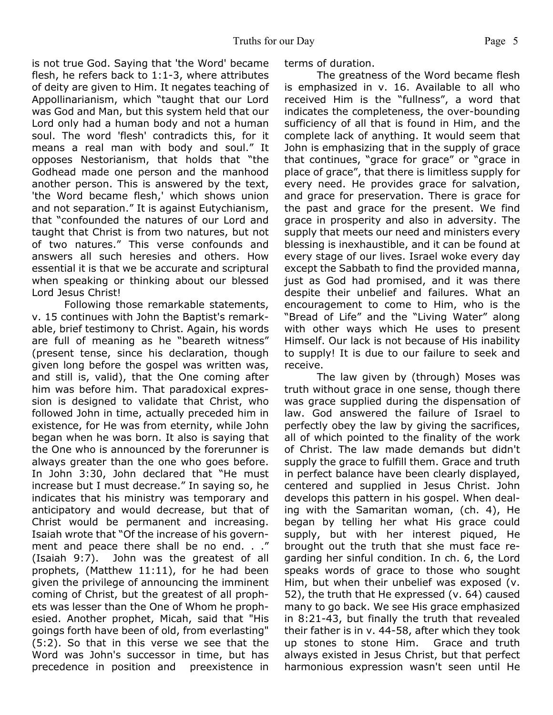is not true God. Saying that 'the Word' became flesh, he refers back to 1:1-3, where attributes of deity are given to Him. It negates teaching of Appollinarianism, which "taught that our Lord was God and Man, but this system held that our Lord only had a human body and not a human soul. The word 'flesh' contradicts this, for it means a real man with body and soul." It opposes Nestorianism, that holds that "the Godhead made one person and the manhood another person. This is answered by the text, 'the Word became flesh,' which shows union and not separation." It is against Eutychianism, that "confounded the natures of our Lord and taught that Christ is from two natures, but not of two natures." This verse confounds and answers all such heresies and others. How essential it is that we be accurate and scriptural when speaking or thinking about our blessed Lord Jesus Christ!

 Following those remarkable statements, v. 15 continues with John the Baptist's remarkable, brief testimony to Christ. Again, his words are full of meaning as he "beareth witness" (present tense, since his declaration, though given long before the gospel was written was, and still is, valid), that the One coming after him was before him. That paradoxical expression is designed to validate that Christ, who followed John in time, actually preceded him in existence, for He was from eternity, while John began when he was born. It also is saying that the One who is announced by the forerunner is always greater than the one who goes before. In John 3:30, John declared that "He must increase but I must decrease." In saying so, he indicates that his ministry was temporary and anticipatory and would decrease, but that of Christ would be permanent and increasing. Isaiah wrote that "Of the increase of his government and peace there shall be no end. . ." (Isaiah 9:7). John was the greatest of all prophets, (Matthew 11:11), for he had been given the privilege of announcing the imminent coming of Christ, but the greatest of all prophets was lesser than the One of Whom he prophesied. Another prophet, Micah, said that "His goings forth have been of old, from everlasting" (5:2). So that in this verse we see that the Word was John's successor in time, but has precedence in position and preexistence in

terms of duration.

 The greatness of the Word became flesh is emphasized in v. 16. Available to all who received Him is the "fullness", a word that indicates the completeness, the over-bounding sufficiency of all that is found in Him, and the complete lack of anything. It would seem that John is emphasizing that in the supply of grace that continues, "grace for grace" or "grace in place of grace", that there is limitless supply for every need. He provides grace for salvation, and grace for preservation. There is grace for the past and grace for the present. We find grace in prosperity and also in adversity. The supply that meets our need and ministers every blessing is inexhaustible, and it can be found at every stage of our lives. Israel woke every day except the Sabbath to find the provided manna, just as God had promised, and it was there despite their unbelief and failures. What an encouragement to come to Him, who is the "Bread of Life" and the "Living Water" along with other ways which He uses to present Himself. Our lack is not because of His inability to supply! It is due to our failure to seek and receive.

 The law given by (through) Moses was truth without grace in one sense, though there was grace supplied during the dispensation of law. God answered the failure of Israel to perfectly obey the law by giving the sacrifices, all of which pointed to the finality of the work of Christ. The law made demands but didn't supply the grace to fulfill them. Grace and truth in perfect balance have been clearly displayed, centered and supplied in Jesus Christ. John develops this pattern in his gospel. When dealing with the Samaritan woman, (ch. 4), He began by telling her what His grace could supply, but with her interest piqued, He brought out the truth that she must face regarding her sinful condition. In ch. 6, the Lord speaks words of grace to those who sought Him, but when their unbelief was exposed (v. 52), the truth that He expressed (v. 64) caused many to go back. We see His grace emphasized in 8:21-43, but finally the truth that revealed their father is in v. 44-58, after which they took up stones to stone Him. Grace and truth always existed in Jesus Christ, but that perfect harmonious expression wasn't seen until He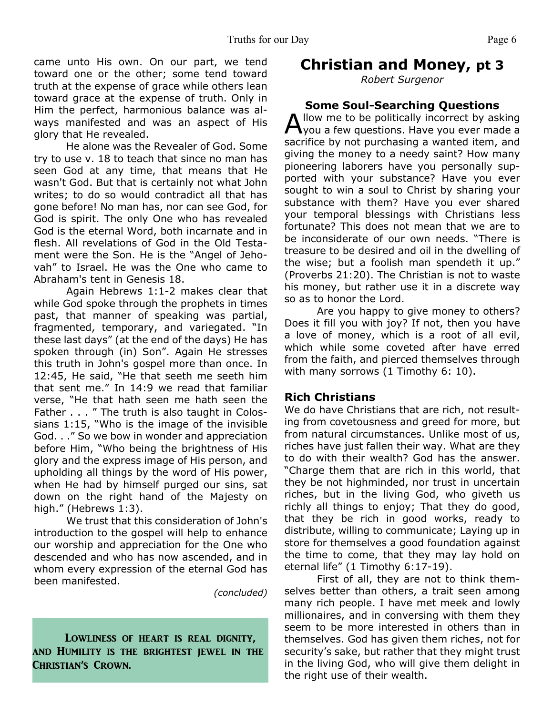came unto His own. On our part, we tend toward one or the other; some tend toward truth at the expense of grace while others lean toward grace at the expense of truth. Only in Him the perfect, harmonious balance was always manifested and was an aspect of His glory that He revealed.

 He alone was the Revealer of God. Some try to use v. 18 to teach that since no man has seen God at any time, that means that He wasn't God. But that is certainly not what John writes; to do so would contradict all that has gone before! No man has, nor can see God, for God is spirit. The only One who has revealed God is the eternal Word, both incarnate and in flesh. All revelations of God in the Old Testament were the Son. He is the "Angel of Jehovah" to Israel. He was the One who came to Abraham's tent in Genesis 18.

 Again Hebrews 1:1-2 makes clear that while God spoke through the prophets in times past, that manner of speaking was partial, fragmented, temporary, and variegated. "In these last days" (at the end of the days) He has spoken through (in) Son". Again He stresses this truth in John's gospel more than once. In 12:45, He said, "He that seeth me seeth him that sent me." In 14:9 we read that familiar verse, "He that hath seen me hath seen the Father . . . " The truth is also taught in Colossians 1:15, "Who is the image of the invisible God. . ." So we bow in wonder and appreciation before Him, "Who being the brightness of His glory and the express image of His person, and upholding all things by the word of His power, when He had by himself purged our sins, sat down on the right hand of the Majesty on high." (Hebrews 1:3).

 We trust that this consideration of John's introduction to the gospel will help to enhance our worship and appreciation for the One who descended and who has now ascended, and in whom every expression of the eternal God has been manifested.

*(concluded)*

## Lowliness of heart is real dignity, and Humility is the brightest jewel in the Christian's Crown.

## **Christian and Money, pt 3**

*Robert Surgenor*

## **Some Soul-Searching Questions**

A llow me to be politically incorrect by asking<br>You a few questions. Have you ever made a you a few questions. Have you ever made a sacrifice by not purchasing a wanted item, and giving the money to a needy saint? How many pioneering laborers have you personally supported with your substance? Have you ever sought to win a soul to Christ by sharing your substance with them? Have you ever shared your temporal blessings with Christians less fortunate? This does not mean that we are to be inconsiderate of our own needs. "There is treasure to be desired and oil in the dwelling of the wise; but a foolish man spendeth it up." (Proverbs 21:20). The Christian is not to waste his money, but rather use it in a discrete way so as to honor the Lord.

 Are you happy to give money to others? Does it fill you with joy? If not, then you have a love of money, which is a root of all evil, which while some coveted after have erred from the faith, and pierced themselves through with many sorrows (1 Timothy 6: 10).

### **Rich Christians**

We do have Christians that are rich, not resulting from covetousness and greed for more, but from natural circumstances. Unlike most of us, riches have just fallen their way. What are they to do with their wealth? God has the answer. "Charge them that are rich in this world, that they be not highminded, nor trust in uncertain riches, but in the living God, who giveth us richly all things to enjoy; That they do good, that they be rich in good works, ready to distribute, willing to communicate; Laying up in store for themselves a good foundation against the time to come, that they may lay hold on eternal life" (1 Timothy 6:17-19).

 First of all, they are not to think themselves better than others, a trait seen among many rich people. I have met meek and lowly millionaires, and in conversing with them they seem to be more interested in others than in themselves. God has given them riches, not for security's sake, but rather that they might trust in the living God, who will give them delight in the right use of their wealth.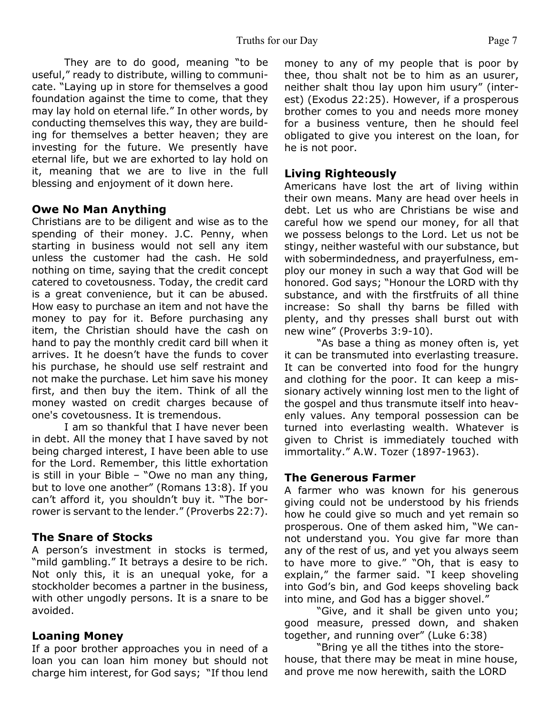They are to do good, meaning "to be useful," ready to distribute, willing to communicate. "Laying up in store for themselves a good foundation against the time to come, that they may lay hold on eternal life." In other words, by conducting themselves this way, they are building for themselves a better heaven; they are investing for the future. We presently have eternal life, but we are exhorted to lay hold on it, meaning that we are to live in the full blessing and enjoyment of it down here.

## **Owe No Man Anything**

Christians are to be diligent and wise as to the spending of their money. J.C. Penny, when starting in business would not sell any item unless the customer had the cash. He sold nothing on time, saying that the credit concept catered to covetousness. Today, the credit card is a great convenience, but it can be abused. How easy to purchase an item and not have the money to pay for it. Before purchasing any item, the Christian should have the cash on hand to pay the monthly credit card bill when it arrives. It he doesn't have the funds to cover his purchase, he should use self restraint and not make the purchase. Let him save his money first, and then buy the item. Think of all the money wasted on credit charges because of one's covetousness. It is tremendous.

I am so thankful that I have never been in debt. All the money that I have saved by not being charged interest, I have been able to use for the Lord. Remember, this little exhortation is still in your Bible – "Owe no man any thing, but to love one another" (Romans 13:8). If you can't afford it, you shouldn't buy it. "The borrower is servant to the lender." (Proverbs 22:7).

## **The Snare of Stocks**

A person's investment in stocks is termed, "mild gambling." It betrays a desire to be rich. Not only this, it is an unequal yoke, for a stockholder becomes a partner in the business, with other ungodly persons. It is a snare to be avoided.

## **Loaning Money**

If a poor brother approaches you in need of a loan you can loan him money but should not charge him interest, for God says; "If thou lend money to any of my people that is poor by thee, thou shalt not be to him as an usurer, neither shalt thou lay upon him usury" (interest) (Exodus 22:25). However, if a prosperous brother comes to you and needs more money for a business venture, then he should feel obligated to give you interest on the loan, for he is not poor.

## **Living Righteously**

Americans have lost the art of living within their own means. Many are head over heels in debt. Let us who are Christians be wise and careful how we spend our money, for all that we possess belongs to the Lord. Let us not be stingy, neither wasteful with our substance, but with sobermindedness, and prayerfulness, employ our money in such a way that God will be honored. God says; "Honour the LORD with thy substance, and with the firstfruits of all thine increase: So shall thy barns be filled with plenty, and thy presses shall burst out with new wine" (Proverbs 3:9-10).

 "As base a thing as money often is, yet it can be transmuted into everlasting treasure. It can be converted into food for the hungry and clothing for the poor. It can keep a missionary actively winning lost men to the light of the gospel and thus transmute itself into heavenly values. Any temporal possession can be turned into everlasting wealth. Whatever is given to Christ is immediately touched with immortality." A.W. Tozer (1897-1963).

## **The Generous Farmer**

A farmer who was known for his generous giving could not be understood by his friends how he could give so much and yet remain so prosperous. One of them asked him, "We cannot understand you. You give far more than any of the rest of us, and yet you always seem to have more to give." "Oh, that is easy to explain," the farmer said. "I keep shoveling into God's bin, and God keeps shoveling back into mine, and God has a bigger shovel."

"Give, and it shall be given unto you; good measure, pressed down, and shaken together, and running over" (Luke 6:38)

 "Bring ye all the tithes into the storehouse, that there may be meat in mine house, and prove me now herewith, saith the LORD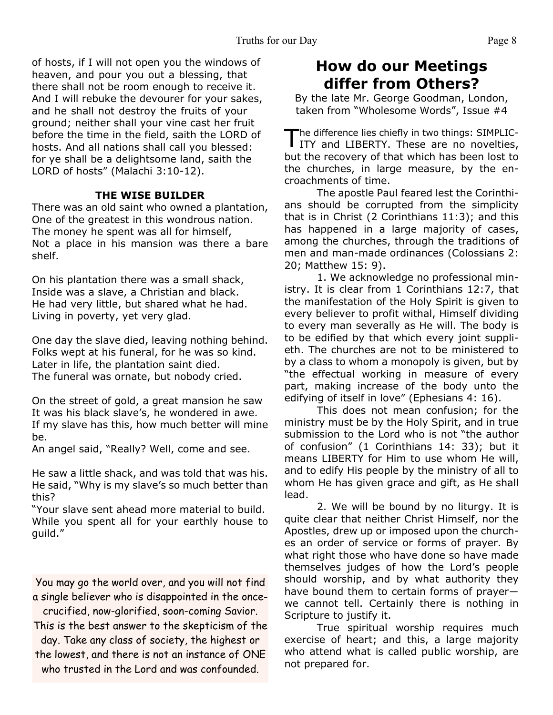of hosts, if I will not open you the windows of heaven, and pour you out a blessing, that there shall not be room enough to receive it. And I will rebuke the devourer for your sakes, and he shall not destroy the fruits of your ground; neither shall your vine cast her fruit before the time in the field, saith the LORD of hosts. And all nations shall call you blessed: for ye shall be a delightsome land, saith the LORD of hosts" (Malachi 3:10-12).

### **THE WISE BUILDER**

There was an old saint who owned a plantation, One of the greatest in this wondrous nation. The money he spent was all for himself, Not a place in his mansion was there a bare shelf.

On his plantation there was a small shack, Inside was a slave, a Christian and black. He had very little, but shared what he had. Living in poverty, yet very glad.

One day the slave died, leaving nothing behind. Folks wept at his funeral, for he was so kind. Later in life, the plantation saint died. The funeral was ornate, but nobody cried.

On the street of gold, a great mansion he saw It was his black slave's, he wondered in awe. If my slave has this, how much better will mine be.

An angel said, "Really? Well, come and see.

He saw a little shack, and was told that was his. He said, "Why is my slave's so much better than this?

"Your slave sent ahead more material to build. While you spent all for your earthly house to guild."

You may go the world over, and you will not find a single believer who is disappointed in the once-

crucified, now-glorified, soon-coming Savior. This is the best answer to the skepticism of the day. Take any class of society, the highest or

the lowest, and there is not an instance of ONE who trusted in the Lord and was confounded.

# **How do our Meetings differ from Others?**

By the late Mr. George Goodman, London, taken from "Wholesome Words", Issue #4

The difference lies chiefly in two things: SIMPLIC-<br>ITY and LIBERTY. These are no novelties, he difference lies chiefly in two things: SIMPLICbut the recovery of that which has been lost to the churches, in large measure, by the encroachments of time.

The apostle Paul feared lest the Corinthians should be corrupted from the simplicity that is in Christ (2 Corinthians 11:3); and this has happened in a large majority of cases, among the churches, through the traditions of men and man-made ordinances (Colossians 2: 20; Matthew 15: 9).

1. We acknowledge no professional ministry. It is clear from 1 Corinthians 12:7, that the manifestation of the Holy Spirit is given to every believer to profit withal, Himself dividing to every man severally as He will. The body is to be edified by that which every joint supplieth. The churches are not to be ministered to by a class to whom a monopoly is given, but by "the effectual working in measure of every part, making increase of the body unto the edifying of itself in love" (Ephesians 4: 16).

This does not mean confusion; for the ministry must be by the Holy Spirit, and in true submission to the Lord who is not "the author of confusion" (1 Corinthians 14: 33); but it means LIBERTY for Him to use whom He will, and to edify His people by the ministry of all to whom He has given grace and gift, as He shall lead.

2. We will be bound by no liturgy. It is quite clear that neither Christ Himself, nor the Apostles, drew up or imposed upon the churches an order of service or forms of prayer. By what right those who have done so have made themselves judges of how the Lord's people should worship, and by what authority they have bound them to certain forms of prayer― we cannot tell. Certainly there is nothing in Scripture to justify it.

True spiritual worship requires much exercise of heart; and this, a large majority who attend what is called public worship, are not prepared for.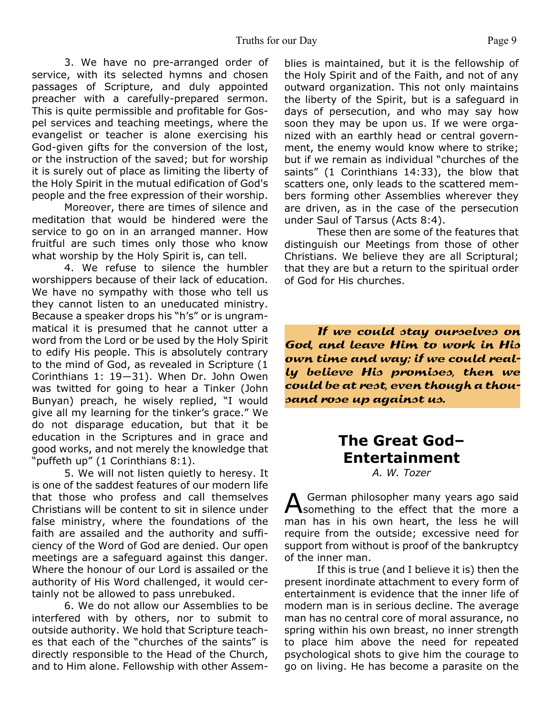3. We have no pre-arranged order of service, with its selected hymns and chosen passages of Scripture, and duly appointed preacher with a carefully-prepared sermon. This is quite permissible and profitable for Gospel services and teaching meetings, where the evangelist or teacher is alone exercising his God-given gifts for the conversion of the lost, or the instruction of the saved; but for worship it is surely out of place as limiting the liberty of the Holy Spirit in the mutual edification of God's people and the free expression of their worship.

Moreover, there are times of silence and meditation that would be hindered were the service to go on in an arranged manner. How fruitful are such times only those who know what worship by the Holy Spirit is, can tell.

4. We refuse to silence the humbler worshippers because of their lack of education. We have no sympathy with those who tell us they cannot listen to an uneducated ministry. Because a speaker drops his "h's" or is ungrammatical it is presumed that he cannot utter a word from the Lord or be used by the Holy Spirit to edify His people. This is absolutely contrary to the mind of God, as revealed in Scripture (1 Corinthians 1: 19―31). When Dr. John Owen was twitted for going to hear a Tinker (John Bunyan) preach, he wisely replied, "I would give all my learning for the tinker's grace." We do not disparage education, but that it be education in the Scriptures and in grace and good works, and not merely the knowledge that "puffeth up" (1 Corinthians 8:1).

5. We will not listen quietly to heresy. It is one of the saddest features of our modern life that those who profess and call themselves Christians will be content to sit in silence under false ministry, where the foundations of the faith are assailed and the authority and sufficiency of the Word of God are denied. Our open meetings are a safeguard against this danger. Where the honour of our Lord is assailed or the authority of His Word challenged, it would certainly not be allowed to pass unrebuked.

6. We do not allow our Assemblies to be interfered with by others, nor to submit to outside authority. We hold that Scripture teaches that each of the "churches of the saints" is directly responsible to the Head of the Church, and to Him alone. Fellowship with other Assemblies is maintained, but it is the fellowship of the Holy Spirit and of the Faith, and not of any outward organization. This not only maintains the liberty of the Spirit, but is a safeguard in days of persecution, and who may say how soon they may be upon us. If we were organized with an earthly head or central government, the enemy would know where to strike; but if we remain as individual "churches of the saints" (1 Corinthians 14:33), the blow that scatters one, only leads to the scattered members forming other Assemblies wherever they are driven, as in the case of the persecution under Saul of Tarsus (Acts 8:4).

These then are some of the features that distinguish our Meetings from those of other Christians. We believe they are all Scriptural; that they are but a return to the spiritual order of God for His churches.

If we could stay ourselves on God, and leave Him to work in His own time and way; if we could really believe His promises, then we could be at rest, even though a thousand rose up against us.

# **The Great God– Entertainment**

*A. W. Tozer*

A German philosopher many years ago said<br>Something to the effect that the more a German philosopher many years ago said man has in his own heart, the less he will require from the outside; excessive need for support from without is proof of the bankruptcy of the inner man.

If this is true (and I believe it is) then the present inordinate attachment to every form of entertainment is evidence that the inner life of modern man is in serious decline. The average man has no central core of moral assurance, no spring within his own breast, no inner strength to place him above the need for repeated psychological shots to give him the courage to go on living. He has become a parasite on the